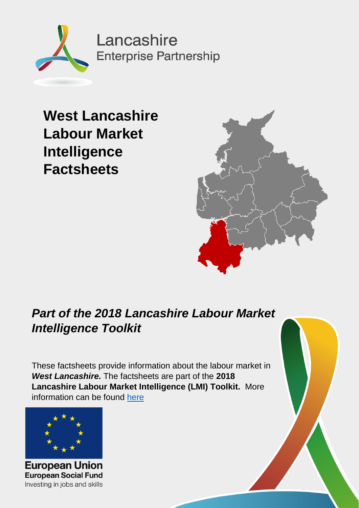

**West Lancashire Labour Market Intelligence Factsheets**



## *Part of the 2018 Lancashire Labour Market Intelligence Toolkit*

These factsheets provide information about the labour market in *West Lancashire.* The factsheets are part of the **2018 Lancashire Labour Market Intelligence (LMI) Toolkit.** More information can be found [here](#page-11-0)



**European Union European Social Fund** Investing in jobs and skills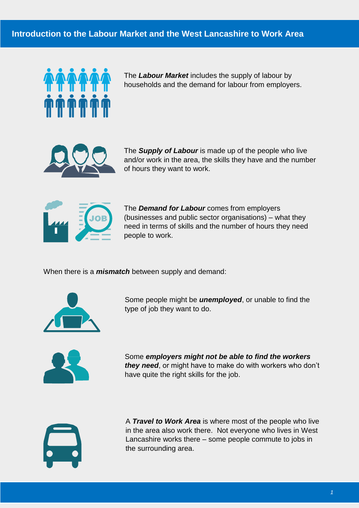

The *Labour Market* includes the supply of labour by households and the demand for labour from employers.



The *Supply of Labour* is made up of the people who live and/or work in the area, the skills they have and the number of hours they want to work.



The *Demand for Labour* comes from employers (businesses and public sector organisations) – what they need in terms of skills and the number of hours they need people to work.

When there is a *mismatch* between supply and demand:



Some people might be *unemployed*, or unable to find the type of job they want to do.



Some *employers might not be able to find the workers they need*, or might have to make do with workers who don't have quite the right skills for the job.



A *Travel to Work Area* is where most of the people who live in the area also work there. Not everyone who lives in West Lancashire works there – some people commute to jobs in the surrounding area.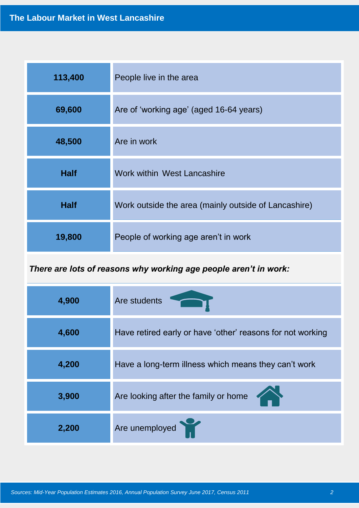| 113,400     | People live in the area                              |  |  |
|-------------|------------------------------------------------------|--|--|
| 69,600      | Are of 'working age' (aged 16-64 years)              |  |  |
| 48,500      | Are in work                                          |  |  |
| <b>Half</b> | Work within West Lancashire                          |  |  |
| <b>Half</b> | Work outside the area (mainly outside of Lancashire) |  |  |
| 19,800      | People of working age aren't in work                 |  |  |

*There are lots of reasons why working age people aren't in work:*

| 4,900 | Are students                                               |
|-------|------------------------------------------------------------|
| 4,600 | Have retired early or have 'other' reasons for not working |
| 4,200 | Have a long-term illness which means they can't work       |
| 3,900 | Are looking after the family or home                       |
| 2,200 | Are unemployed                                             |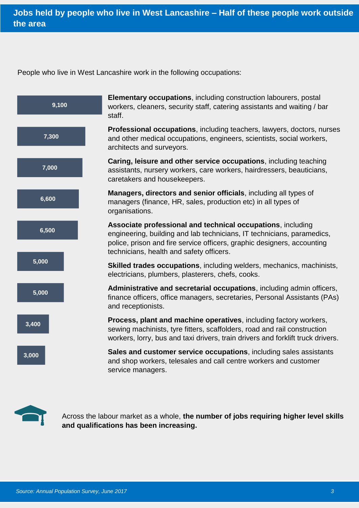People who live in West Lancashire work in the following occupations:





Across the labour market as a whole, **the number of jobs requiring higher level skills and qualifications has been increasing.**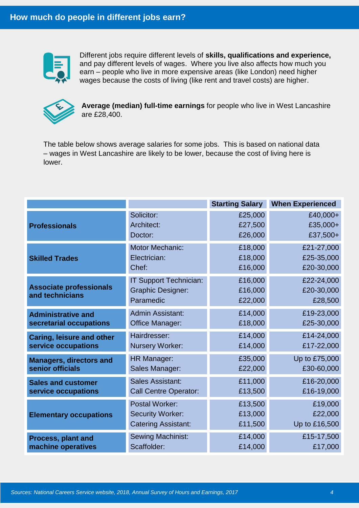

Different jobs require different levels of **skills, qualifications and experience,**  and pay different levels of wages. Where you live also affects how much you earn – people who live in more expensive areas (like London) need higher wages because the costs of living (like rent and travel costs) are higher.



**Average (median) full-time earnings** for people who live in West Lancashire are £28,400.

The table below shows average salaries for some jobs. This is based on national data – wages in West Lancashire are likely to be lower, because the cost of living here is lower.

|                                                   |                                                                 | <b>Starting Salary</b>        | <b>When Experienced</b>             |
|---------------------------------------------------|-----------------------------------------------------------------|-------------------------------|-------------------------------------|
| <b>Professionals</b>                              | Solicitor:                                                      | £25,000                       | £40,000+                            |
|                                                   | Architect:                                                      | £27,500                       | £35,000+                            |
|                                                   | Doctor:                                                         | £26,000                       | £37,500+                            |
| <b>Skilled Trades</b>                             | <b>Motor Mechanic:</b>                                          | £18,000                       | £21-27,000                          |
|                                                   | Electrician:                                                    | £18,000                       | £25-35,000                          |
|                                                   | Chef:                                                           | £16,000                       | £20-30,000                          |
| <b>Associate professionals</b><br>and technicians | IT Support Technician:<br><b>Graphic Designer:</b><br>Paramedic | £16,000<br>£16,000<br>£22,000 | £22-24,000<br>£20-30,000<br>£28,500 |
| <b>Administrative and</b>                         | <b>Admin Assistant:</b>                                         | £14,000                       | £19-23,000                          |
| secretarial occupations                           | Office Manager:                                                 | £18,000                       | £25-30,000                          |
| <b>Caring, leisure and other</b>                  | Hairdresser:                                                    | £14,000                       | £14-24,000                          |
| service occupations                               | <b>Nursery Worker:</b>                                          | £14,000                       | £17-22,000                          |
| <b>Managers, directors and</b>                    | HR Manager:                                                     | £35,000                       | Up to £75,000                       |
| senior officials                                  | Sales Manager:                                                  | £22,000                       | £30-60,000                          |
| <b>Sales and customer</b>                         | <b>Sales Assistant:</b>                                         | £11,000                       | £16-20,000                          |
| service occupations                               | <b>Call Centre Operator:</b>                                    | £13,500                       | £16-19,000                          |
| <b>Elementary occupations</b>                     | <b>Postal Worker:</b>                                           | £13,500                       | £19,000                             |
|                                                   | <b>Security Worker:</b>                                         | £13,000                       | £22,000                             |
|                                                   | <b>Catering Assistant:</b>                                      | £11,500                       | Up to £16,500                       |
| <b>Process, plant and</b>                         | Sewing Machinist:                                               | £14,000                       | £15-17,500                          |
| machine operatives                                | Scaffolder:                                                     | £14,000                       | £17,000                             |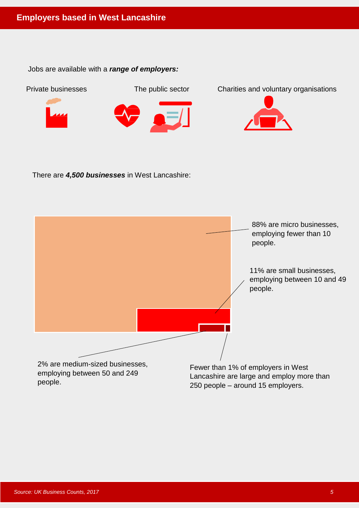Jobs are available with a *range of employers:*



There are *4,500 businesses* in West Lancashire:

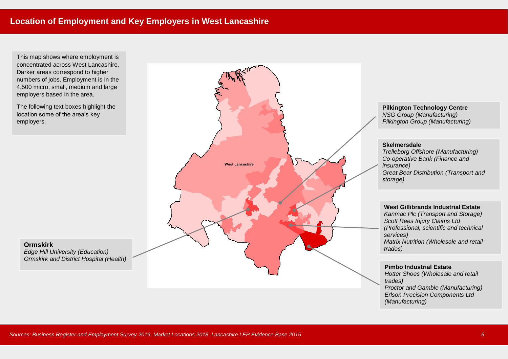This map shows where employment is concentrated across West Lancashire. Darker areas correspond to higher numbers of jobs. Employment is in the 4,500 micro, small, medium and large employers based in the area.

The following text boxes highlight the location some of the area's key employers.

**Ormskirk**



*Erlson Precision Components Ltd*

*(Manufacturing)*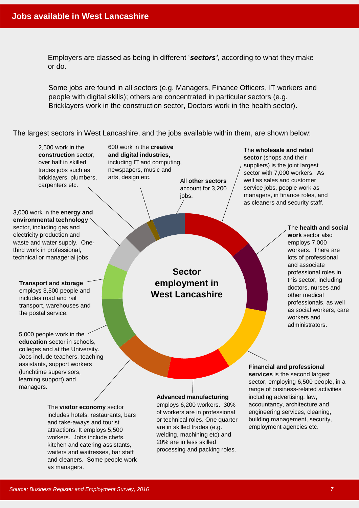Employers are classed as being in different '*sectors'*, according to what they make or do.

Some jobs are found in all sectors (e.g. Managers, Finance Officers, IT workers and people with digital skills); others are concentrated in particular sectors (e.g. Bricklayers work in the construction sector, Doctors work in the health sector).

The largest sectors in West Lancashire, and the jobs available within them, are shown below:

2,500 work in the **construction** sector, over half in skilled trades jobs such as bricklayers, plumbers, carpenters etc.

600 work in the **creative and digital industries,** including IT and computing, newspapers, music and arts, design etc.

All **other sectors** account for 3,200 jobs.

The **wholesale and retail sector** (shops and their suppliers) is the joint largest sector with 7,000 workers. As well as sales and customer service jobs, people work as managers, in finance roles, and as cleaners and security staff.

3,000 work in the **energy and environmental technology** sector, including gas and electricity production and waste and water supply. Onethird work in professional, technical or managerial jobs.

**Transport and storage** employs 3,500 people and includes road and rail transport, warehouses and the postal service.

5,000 people work in the **education** sector in schools, colleges and at the University. Jobs include teachers, teaching assistants, support workers (lunchtime supervisors, learning support) and managers.

> The **visitor economy** sector includes hotels, restaurants, bars and take-aways and tourist attractions. It employs 5,500 workers. Jobs include chefs, kitchen and catering assistants, waiters and waitresses, bar staff and cleaners. Some people work as managers.

**Sector employment in West Lancashire**

The **health and social work** sector also employs 7,000 workers. There are lots of professional and associate professional roles in this sector, including doctors, nurses and other medical professionals, as well as social workers, care workers and administrators.

**Advanced manufacturing** employs 6,200 workers. 30%

of workers are in professional or technical roles. One quarter are in skilled trades (e.g. welding, machining etc) and 20% are in less skilled processing and packing roles.

**Financial and professional** 

**services** is the second largest sector, employing 6,500 people, in a range of business-related activities including advertising, law, accountancy, architecture and engineering services, cleaning, building management, security, employment agencies etc.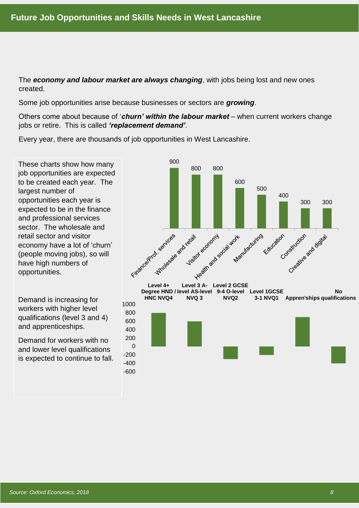The *economy and labour market are always changing*, with jobs being lost and new ones created.

Some job opportunities arise because businesses or sectors are *growing*.

Others come about because of '*churn' within the labour market* – when current workers change jobs or retire. This is called *'replacement demand'*.

Every year, there are thousands of job opportunities in West Lancashire.

-600  $-400$ -200  $\Omega$ 200

These charts show how many job opportunities are expected to be created each year. The largest number of opportunities each year is expected to be in the finance and professional services sector. The wholesale and retail sector and visitor economy have a lot of 'churn' (people moving jobs), so will have high numbers of opportunities.

Demand is increasing for workers with higher level qualifications (level 3 and 4) and apprenticeships.

Demand for workers with no and lower level qualifications is expected to continue to fall.



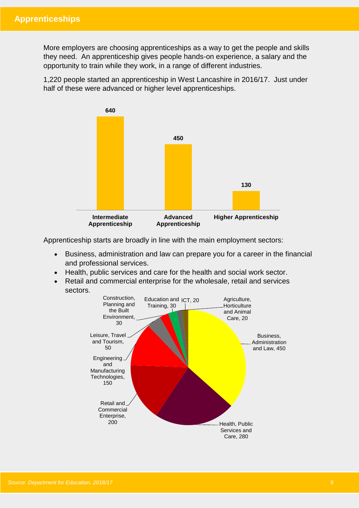More employers are choosing apprenticeships as a way to get the people and skills they need. An apprenticeship gives people hands-on experience, a salary and the opportunity to train while they work, in a range of different industries.

1,220 people started an apprenticeship in West Lancashire in 2016/17. Just under half of these were advanced or higher level apprenticeships.



Apprenticeship starts are broadly in line with the main employment sectors:

- Business, administration and law can prepare you for a career in the financial and professional services.
- Health, public services and care for the health and social work sector.
- Retail and commercial enterprise for the wholesale, retail and services sectors.

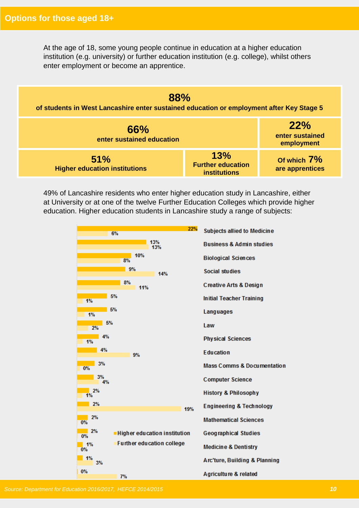At the age of 18, some young people continue in education at a higher education institution (e.g. university) or further education institution (e.g. college), whilst others enter employment or become an apprentice.



49% of Lancashire residents who enter higher education study in Lancashire, either at University or at one of the twelve Further Education Colleges which provide higher education. Higher education students in Lancashire study a range of subjects: